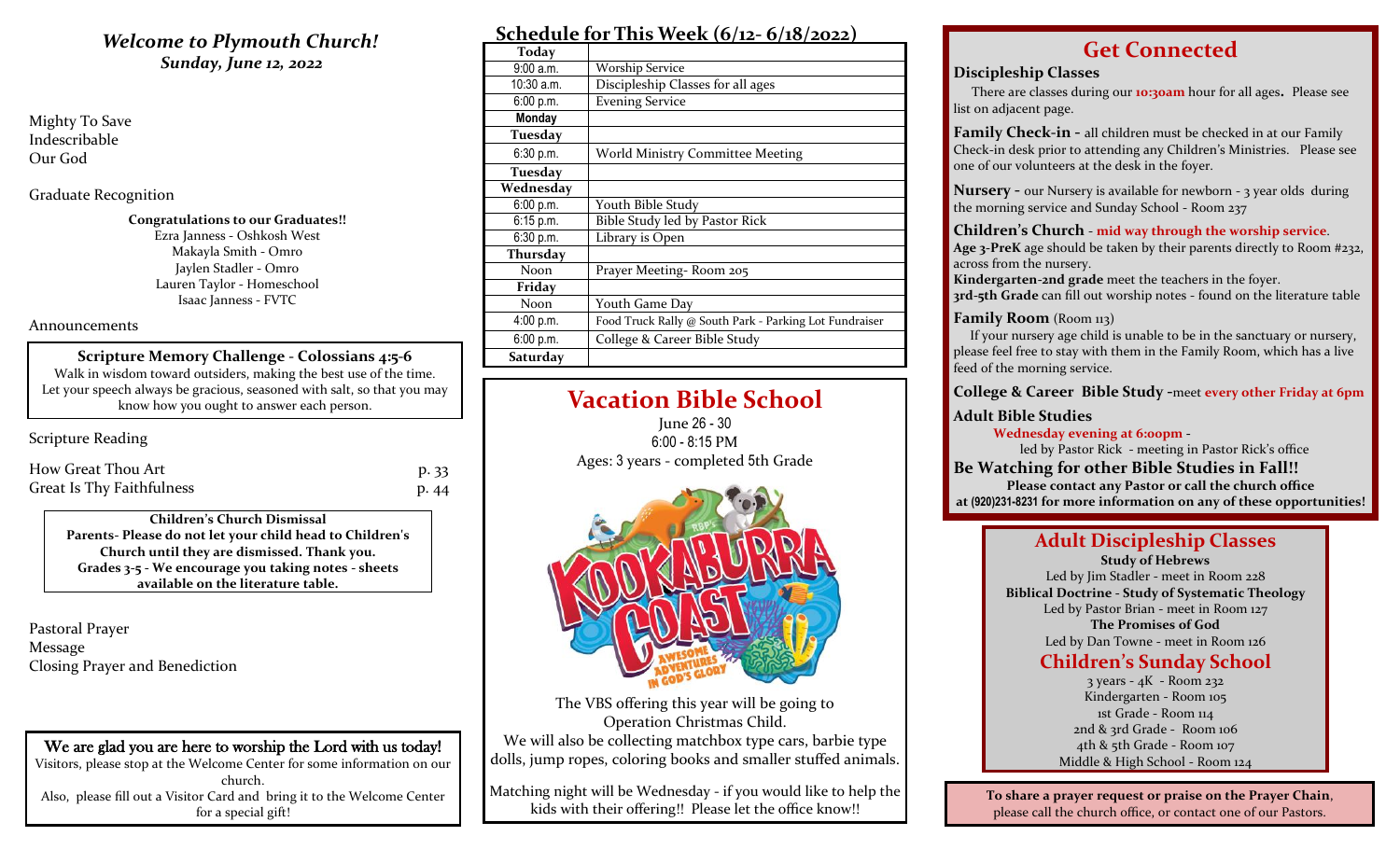# *Sunday, June 12, 2022*

Mighty To Save Indescribable Our God

Graduate Recognition

**Congratulations to our Graduates!!** Ezra Janness - Oshkosh West Makayla Smith - Omro Jaylen Stadler - Omro Lauren Taylor - Homeschool Isaac Janness - FVTC

#### Announcements

**Scripture Memory Challenge - Colossians 4:5-6** Walk in wisdom toward outsiders, making the best use of the time. Let your speech always be gracious, seasoned with salt, so that you may know how you ought to answer each person.

# Scripture Reading

| How Great Thou Art        | p. 33 |
|---------------------------|-------|
| Great Is Thy Faithfulness | p. 44 |

**Children's Church Dismissal Parents- Please do not let your child head to Children's Church until they are dismissed. Thank you. Grades 3-5 - We encourage you taking notes - sheets available on the literature table.**

Pastoral Prayer Message Closing Prayer and Benediction

We are glad you are here to worship the Lord with us today! Visitors, please stop at the Welcome Center for some information on our church. Also, please fill out a Visitor Card and bring it to the Welcome Center for a special gift!

# *Welcome to Plymouth Church!* **Schedule for This Week (6/12- 6/18/2022)**

| Today        |                                                        |
|--------------|--------------------------------------------------------|
| 9:00a.m.     | <b>Worship Service</b>                                 |
| $10:30$ a.m. | Discipleship Classes for all ages                      |
| 6:00 p.m.    | <b>Evening Service</b>                                 |
| Monday       |                                                        |
| Tuesday      |                                                        |
| 6:30 p.m.    | <b>World Ministry Committee Meeting</b>                |
| Tuesday      |                                                        |
| Wednesday    |                                                        |
| 6:00 p.m.    | Youth Bible Study                                      |
| $6:15$ p.m.  | Bible Study led by Pastor Rick                         |
| 6:30 p.m.    | Library is Open                                        |
| Thursday     |                                                        |
| <b>Noon</b>  | Prayer Meeting-Room 205                                |
| Friday       |                                                        |
| Noon         | Youth Game Day                                         |
| 4:00 p.m.    | Food Truck Rally @ South Park - Parking Lot Fundraiser |
| 6:00 p.m.    | College & Career Bible Study                           |
| Saturday     |                                                        |

# **Vacation Bible School**

June 26 - 30 6:00 - 8:15 PM Ages: 3 years - completed 5th Grade



The VBS offering this year will be going to Operation Christmas Child. We will also be collecting matchbox type cars, barbie type dolls, jump ropes, coloring books and smaller stuffed animals.

Matching night will be Wednesday - if you would like to help the kids with their offering!! Please let the office know!!

# **Get Connected**

# **Discipleship Classes**

There are classes during our **10:30am** hour for all ages**.** Please see list on adjacent page.

**Family Check-in -** all children must be checked in at our Family Check-in desk prior to attending any Children's Ministries. Please see one of our volunteers at the desk in the foyer.

**Nursery -** our Nursery is available for newborn - 3 year olds during the morning service and Sunday School - Room 237

### **Children's Church** - **mid way through the worship service**.

**Age 3-PreK** age should be taken by their parents directly to Room #232, across from the nursery.

**Kindergarten-2nd grade** meet the teachers in the foyer. **3rd-5th Grade** can fill out worship notes - found on the literature table

## **Family Room** (Room 113)

 If your nursery age child is unable to be in the sanctuary or nursery, please feel free to stay with them in the Family Room, which has a live feed of the morning service.

**College & Career Bible Study -**meet **every other Friday at 6pm**

# **Adult Bible Studies**

 **Wednesday evening at 6:00pm -**

led by Pastor Rick - meeting in Pastor Rick's office **Be Watching for other Bible Studies in Fall!!**

**Please contact any Pastor or call the church office at (920)231-8231 for more information on any of these opportunities!**

# **Adult Discipleship Classes**

**Study of Hebrews** Led by Jim Stadler - meet in Room 228 **Biblical Doctrine - Study of Systematic Theology** Led by Pastor Brian - meet in Room 127 **The Promises of God** Led by Dan Towne - meet in Room 126

# **Children's Sunday School**

3 years - 4K - Room 232 Kindergarten - Room 105 1st Grade - Room 114 2nd & 3rd Grade - Room 106 4th & 5th Grade - Room 107 Middle & High School - Room 124

**To share a prayer request or praise on the Prayer Chain**, please call the church office, or contact one of our Pastors.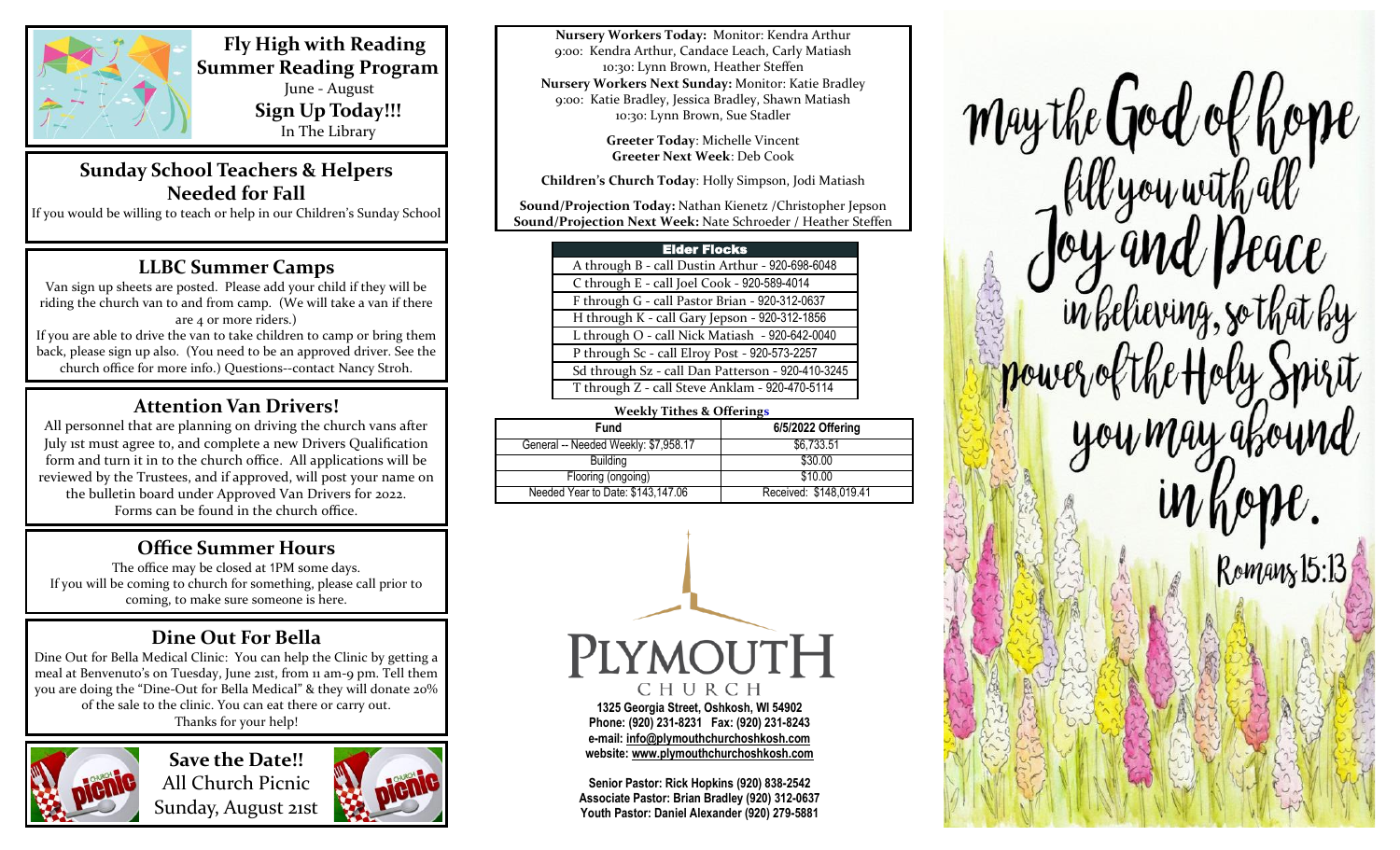

 **Fly High with Reading Summer Reading Program** June - August **Sign Up Today!!!** In The Library

# **Sunday School Teachers & Helpers Needed for Fall** If you would be willing to teach or help in our Children's Sunday School

# **LLBC Summer Camps**

Van sign up sheets are posted. Please add your child if they will be riding the church van to and from camp. (We will take a van if there are 4 or more riders.) If you are able to drive the van to take children to camp or bring them back, please sign up also. (You need to be an approved driver. See the church office for more info.) Questions--contact Nancy Stroh.

# **Attention Van Drivers!**

All personnel that are planning on driving the church vans after July 1st must agree to, and complete a new Drivers Qualification form and turn it in to the church office. All applications will be reviewed by the Trustees, and if approved, will post your name on the bulletin board under Approved Van Drivers for 2022. Forms can be found in the church office.

# **Office Summer Hours**

The office may be closed at 1PM some days. If you will be coming to church for something, please call prior to coming, to make sure someone is here.

# **Dine Out For Bella**

Dine Out for Bella Medical Clinic: You can help the Clinic by getting a meal at Benvenuto's on Tuesday, June 21st, from 11 am-9 pm. Tell them you are doing the "Dine-Out for Bella Medical" & they will donate 20% of the sale to the clinic. You can eat there or carry out. Thanks for your help!



**Save the Date!!** All Church Picnic Sunday, August 21st



**Nursery Workers Today:** Monitor: Kendra Arthur 9:00: Kendra Arthur, Candace Leach, Carly Matiash 10:30: Lynn Brown, Heather Steffen **Nursery Workers Next Sunday:** Monitor: Katie Bradley 9:00: Katie Bradley, Jessica Bradley, Shawn Matiash 10:30: Lynn Brown, Sue Stadler

> **Greeter Today**: Michelle Vincent **Greeter Next Week**: Deb Cook

**Children's Church Today**: Holly Simpson, Jodi Matiash

**Sound/Projection Today:** Nathan Kienetz /Christopher Jepson **Sound/Projection Next Week:** Nate Schroeder / Heather Steffen

| <b>Elder Flocks</b>                               |  |
|---------------------------------------------------|--|
| A through B - call Dustin Arthur - 920-698-6048   |  |
| C through E - call Joel Cook - 920-589-4014       |  |
| F through G - call Pastor Brian - 920-312-0637    |  |
| H through K - call Gary Jepson - 920-312-1856     |  |
| L through O - call Nick Matiash - 920-642-0040    |  |
| P through Sc - call Elroy Post - 920-573-2257     |  |
| Sd through Sz - call Dan Patterson - 920-410-3245 |  |
| T through Z - call Steve Anklam - 920-470-5114    |  |

| <b>Weekly Tithes &amp; Offerings</b> |                        |  |
|--------------------------------------|------------------------|--|
| Fund                                 | 6/5/2022 Offering      |  |
| General -- Needed Weekly: \$7,958.17 | \$6,733.51             |  |
| Building                             | \$30.00                |  |
| Flooring (ongoing)                   | \$10.00                |  |
| Needed Year to Date: \$143,147.06    | Received: \$148,019.41 |  |